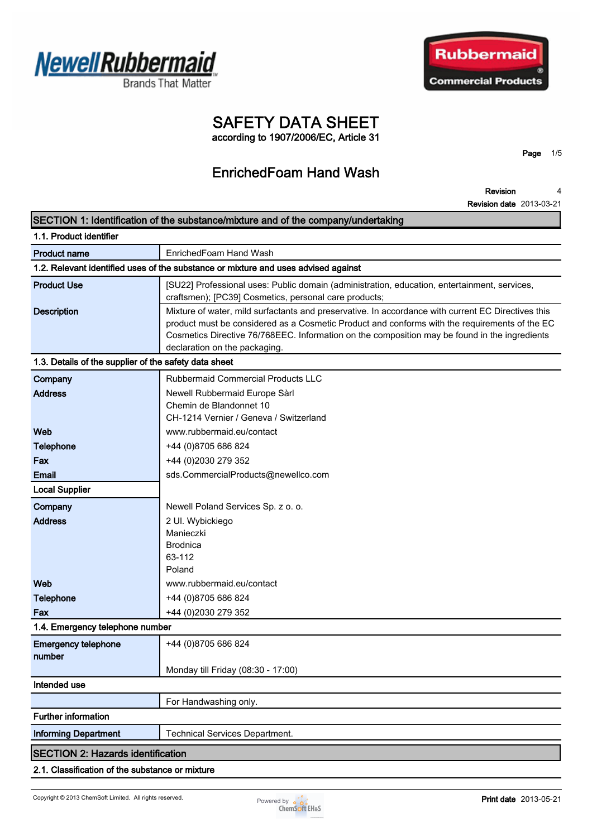



# **SAFETY DATA SHEET**

**according to 1907/2006/EC, Article 31**

## **EnrichedFoam Hand Wash**

**Page 1/5**

**Revision Revision date 2013-03-21 4**

| SECTION 1: Identification of the substance/mixture and of the company/undertaking                                                                                                                                                                                                                                                                           |  |  |
|-------------------------------------------------------------------------------------------------------------------------------------------------------------------------------------------------------------------------------------------------------------------------------------------------------------------------------------------------------------|--|--|
| 1.1. Product identifier                                                                                                                                                                                                                                                                                                                                     |  |  |
| EnrichedFoam Hand Wash<br><b>Product name</b>                                                                                                                                                                                                                                                                                                               |  |  |
| 1.2. Relevant identified uses of the substance or mixture and uses advised against                                                                                                                                                                                                                                                                          |  |  |
| <b>Product Use</b><br>[SU22] Professional uses: Public domain (administration, education, entertainment, services,<br>craftsmen); [PC39] Cosmetics, personal care products;                                                                                                                                                                                 |  |  |
| <b>Description</b><br>Mixture of water, mild surfactants and preservative. In accordance with current EC Directives this<br>product must be considered as a Cosmetic Product and conforms with the requirements of the EC<br>Cosmetics Directive 76/768EEC. Information on the composition may be found in the ingredients<br>declaration on the packaging. |  |  |
| 1.3. Details of the supplier of the safety data sheet                                                                                                                                                                                                                                                                                                       |  |  |
| Rubbermaid Commercial Products LLC<br>Company                                                                                                                                                                                                                                                                                                               |  |  |
| <b>Address</b><br>Newell Rubbermaid Europe Sàrl<br>Chemin de Blandonnet 10<br>CH-1214 Vernier / Geneva / Switzerland                                                                                                                                                                                                                                        |  |  |
| Web<br>www.rubbermaid.eu/contact                                                                                                                                                                                                                                                                                                                            |  |  |
| <b>Telephone</b><br>+44 (0)8705 686 824                                                                                                                                                                                                                                                                                                                     |  |  |
| +44 (0)2030 279 352<br>Fax                                                                                                                                                                                                                                                                                                                                  |  |  |
| sds.CommercialProducts@newellco.com<br><b>Email</b>                                                                                                                                                                                                                                                                                                         |  |  |
| <b>Local Supplier</b>                                                                                                                                                                                                                                                                                                                                       |  |  |
| Company<br>Newell Poland Services Sp. z o. o.                                                                                                                                                                                                                                                                                                               |  |  |
| <b>Address</b><br>2 Ul. Wybickiego                                                                                                                                                                                                                                                                                                                          |  |  |
| Manieczki                                                                                                                                                                                                                                                                                                                                                   |  |  |
| <b>Brodnica</b>                                                                                                                                                                                                                                                                                                                                             |  |  |
| 63-112<br>Poland                                                                                                                                                                                                                                                                                                                                            |  |  |
| Web<br>www.rubbermaid.eu/contact                                                                                                                                                                                                                                                                                                                            |  |  |
| <b>Telephone</b><br>+44 (0)8705 686 824                                                                                                                                                                                                                                                                                                                     |  |  |
| +44 (0)2030 279 352<br>Fax                                                                                                                                                                                                                                                                                                                                  |  |  |
| 1.4. Emergency telephone number                                                                                                                                                                                                                                                                                                                             |  |  |
| <b>Emergency telephone</b><br>+44 (0)8705 686 824<br>number                                                                                                                                                                                                                                                                                                 |  |  |
| Monday till Friday (08:30 - 17:00)                                                                                                                                                                                                                                                                                                                          |  |  |
| Intended use                                                                                                                                                                                                                                                                                                                                                |  |  |
| For Handwashing only.                                                                                                                                                                                                                                                                                                                                       |  |  |
| <b>Further information</b>                                                                                                                                                                                                                                                                                                                                  |  |  |
| <b>Informing Department</b><br><b>Technical Services Department.</b>                                                                                                                                                                                                                                                                                        |  |  |
| <b>SECTION 2: Hazards identification</b>                                                                                                                                                                                                                                                                                                                    |  |  |
| 2.1. Classification of the substance or mixture                                                                                                                                                                                                                                                                                                             |  |  |

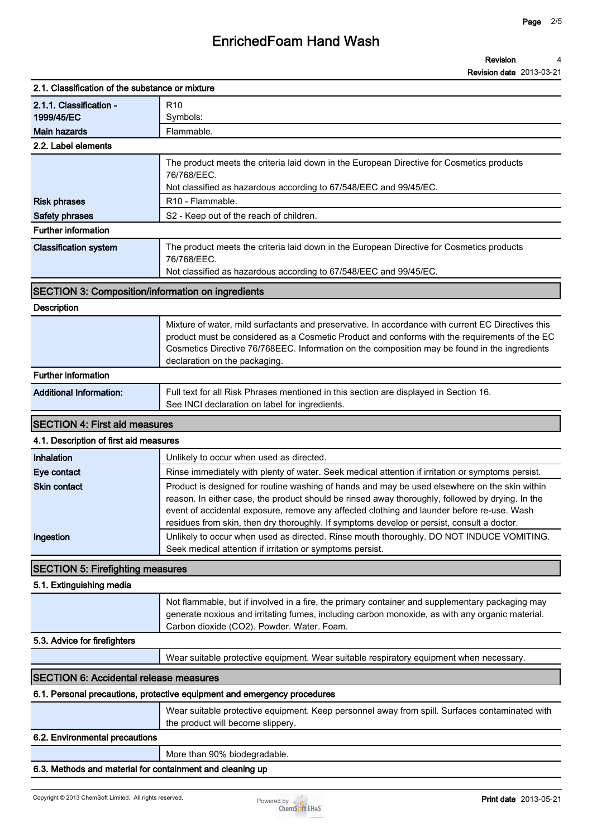### **EnrichedFoam Hand Wash**

#### **Revision Revision date 2013-03-21 4**

| 2.1. Classification of the substance or mixture          |                                                                                                                                                                                                                                                                                                                                                                                               |
|----------------------------------------------------------|-----------------------------------------------------------------------------------------------------------------------------------------------------------------------------------------------------------------------------------------------------------------------------------------------------------------------------------------------------------------------------------------------|
| 2.1.1. Classification -<br>1999/45/EC                    | R <sub>10</sub><br>Symbols:                                                                                                                                                                                                                                                                                                                                                                   |
| <b>Main hazards</b>                                      | Flammable.                                                                                                                                                                                                                                                                                                                                                                                    |
| 2.2. Label elements                                      |                                                                                                                                                                                                                                                                                                                                                                                               |
|                                                          | The product meets the criteria laid down in the European Directive for Cosmetics products<br>76/768/EEC.<br>Not classified as hazardous according to 67/548/EEC and 99/45/EC.                                                                                                                                                                                                                 |
| <b>Risk phrases</b>                                      | R <sub>10</sub> - Flammable.                                                                                                                                                                                                                                                                                                                                                                  |
| <b>Safety phrases</b>                                    | S2 - Keep out of the reach of children.                                                                                                                                                                                                                                                                                                                                                       |
| <b>Further information</b>                               |                                                                                                                                                                                                                                                                                                                                                                                               |
| <b>Classification system</b>                             | The product meets the criteria laid down in the European Directive for Cosmetics products<br>76/768/EEC.                                                                                                                                                                                                                                                                                      |
|                                                          | Not classified as hazardous according to 67/548/EEC and 99/45/EC.                                                                                                                                                                                                                                                                                                                             |
| <b>SECTION 3: Composition/information on ingredients</b> |                                                                                                                                                                                                                                                                                                                                                                                               |
| <b>Description</b>                                       |                                                                                                                                                                                                                                                                                                                                                                                               |
|                                                          | Mixture of water, mild surfactants and preservative. In accordance with current EC Directives this<br>product must be considered as a Cosmetic Product and conforms with the requirements of the EC<br>Cosmetics Directive 76/768EEC. Information on the composition may be found in the ingredients<br>declaration on the packaging.                                                         |
| <b>Further information</b>                               |                                                                                                                                                                                                                                                                                                                                                                                               |
| <b>Additional Information:</b>                           | Full text for all Risk Phrases mentioned in this section are displayed in Section 16.<br>See INCI declaration on label for ingredients.                                                                                                                                                                                                                                                       |
| <b>SECTION 4: First aid measures</b>                     |                                                                                                                                                                                                                                                                                                                                                                                               |
| 4.1. Description of first aid measures                   |                                                                                                                                                                                                                                                                                                                                                                                               |
| Inhalation                                               | Unlikely to occur when used as directed.                                                                                                                                                                                                                                                                                                                                                      |
| Eye contact                                              | Rinse immediately with plenty of water. Seek medical attention if irritation or symptoms persist.                                                                                                                                                                                                                                                                                             |
| <b>Skin contact</b>                                      | Product is designed for routine washing of hands and may be used elsewhere on the skin within<br>reason. In either case, the product should be rinsed away thoroughly, followed by drying. In the<br>event of accidental exposure, remove any affected clothing and launder before re-use. Wash<br>residues from skin, then dry thoroughly. If symptoms develop or persist, consult a doctor. |
| Ingestion                                                | Unlikely to occur when used as directed. Rinse mouth thoroughly. DO NOT INDUCE VOMITING.<br>Seek medical attention if irritation or symptoms persist.                                                                                                                                                                                                                                         |
| <b>SECTION 5: Firefighting measures</b>                  |                                                                                                                                                                                                                                                                                                                                                                                               |
| 5.1. Extinguishing media                                 |                                                                                                                                                                                                                                                                                                                                                                                               |
|                                                          | Not flammable, but if involved in a fire, the primary container and supplementary packaging may<br>generate noxious and irritating fumes, including carbon monoxide, as with any organic material.<br>Carbon dioxide (CO2). Powder. Water. Foam.                                                                                                                                              |
| 5.3. Advice for firefighters                             |                                                                                                                                                                                                                                                                                                                                                                                               |
|                                                          | Wear suitable protective equipment. Wear suitable respiratory equipment when necessary.                                                                                                                                                                                                                                                                                                       |
| <b>SECTION 6: Accidental release measures</b>            |                                                                                                                                                                                                                                                                                                                                                                                               |
|                                                          | 6.1. Personal precautions, protective equipment and emergency procedures                                                                                                                                                                                                                                                                                                                      |
|                                                          | Wear suitable protective equipment. Keep personnel away from spill. Surfaces contaminated with<br>the product will become slippery.                                                                                                                                                                                                                                                           |
| 6.2. Environmental precautions                           |                                                                                                                                                                                                                                                                                                                                                                                               |
|                                                          | More than 90% biodegradable.                                                                                                                                                                                                                                                                                                                                                                  |

#### **6.3. Methods and material for containment and cleaning up**

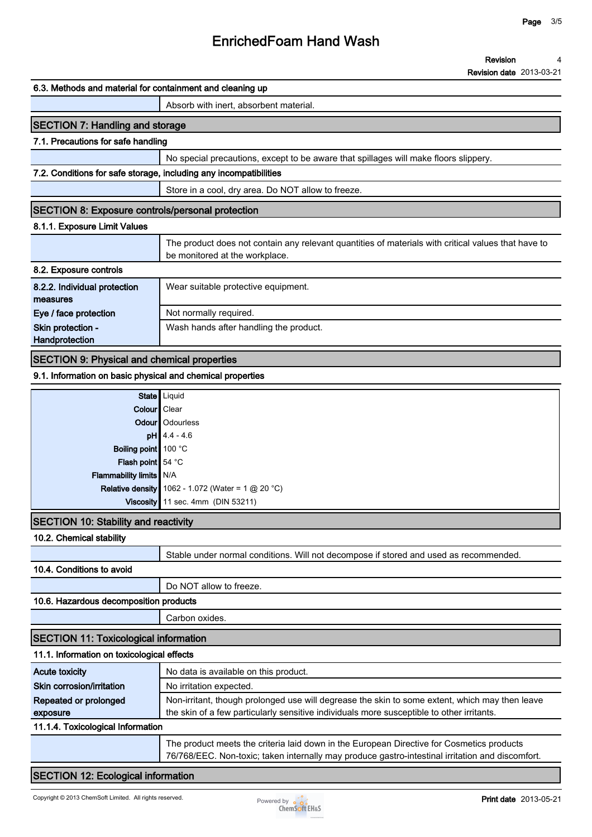#### **Revision 4**

**Revision date 2013-03-21**

#### **6.3. Methods and material for containment and cleaning up**

#### **Absorb with inert, absorbent material.**

### **SECTION 7: Handling and storage**

#### **7.1. Precautions for safe handling**

**No special precautions, except to be aware that spillages will make floors slippery.**

#### **7.2. Conditions for safe storage, including any incompatibilities**

**Store in a cool, dry area. Do NOT allow to freeze.**

#### **SECTION 8: Exposure controls/personal protection**

#### **8.1.1. Exposure Limit Values**

|                                          | The product does not contain any relevant quantities of materials with critical values that have to<br>be monitored at the workplace. |
|------------------------------------------|---------------------------------------------------------------------------------------------------------------------------------------|
| 8.2. Exposure controls                   |                                                                                                                                       |
| 8.2.2. Individual protection<br>measures | Wear suitable protective equipment.                                                                                                   |
| Eye / face protection                    | Not normally required.                                                                                                                |
| Skin protection -<br>Handprotection      | Wash hands after handling the product.                                                                                                |

#### **SECTION 9: Physical and chemical properties**

#### **9.1. Information on basic physical and chemical properties**

|                           | State Liquid                                               |
|---------------------------|------------------------------------------------------------|
| Colour   Clear            |                                                            |
|                           | Odour   Odourless                                          |
|                           | $pH$ 4.4 - 4.6                                             |
| Boiling point 100 °C      |                                                            |
| Flash point 54 °C         |                                                            |
| Flammability limits   N/A |                                                            |
|                           | <b>Relative density</b> 1062 - 1.072 (Water = 1 $@$ 20 °C) |
|                           | Viscosity 11 sec. 4mm (DIN 53211)                          |
| .                         |                                                            |

### **SECTION 10: Stability and reactivity**

#### **10.2. Chemical stability**

**Stable under normal conditions. Will not decompose if stored and used as recommended.**

#### **10.4. Conditions to avoid**

**Do NOT allow to freeze.**

#### **10.6. Hazardous decomposition products**

**Carbon oxides.**

### **SECTION 11: Toxicological information**

| 11.1. Information on toxicological effects |  |
|--------------------------------------------|--|
|--------------------------------------------|--|

| Acute toxicity                    | No data is available on this product.                                                          |
|-----------------------------------|------------------------------------------------------------------------------------------------|
| Skin corrosion/irritation         | No irritation expected.                                                                        |
| Repeated or prolonged             | Non-irritant, though prolonged use will degrease the skin to some extent, which may then leave |
| exposure                          | the skin of a few particularly sensitive individuals more susceptible to other irritants.      |
| 11.1.4. Toxicological Information |                                                                                                |

**The product meets the criteria laid down in the European Directive for Cosmetics products 76/768/EEC. Non-toxic; taken internally may produce gastro-intestinal irritation and discomfort.**

#### **SECTION 12: Ecological information**

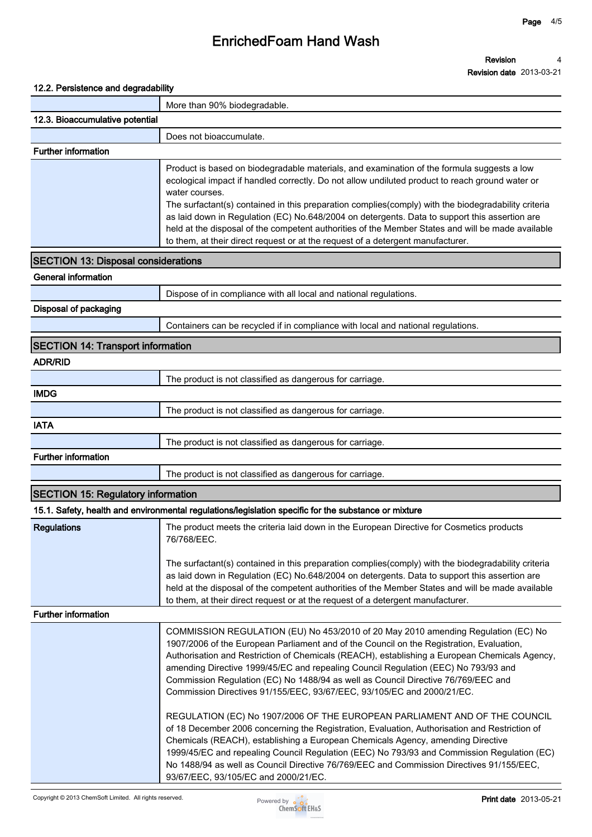## **EnrichedFoam Hand Wash**

#### **Revision Revision date 2013-03-21 4**

### **12.2. Persistence and degradability**

|                                            | More than 90% biodegradable.                                                                                                                                                                                                                                                                                                                                                                                                                                                                                                                                                                                                                                                                                                                                                                                                                                                                                                                                                                                                            |
|--------------------------------------------|-----------------------------------------------------------------------------------------------------------------------------------------------------------------------------------------------------------------------------------------------------------------------------------------------------------------------------------------------------------------------------------------------------------------------------------------------------------------------------------------------------------------------------------------------------------------------------------------------------------------------------------------------------------------------------------------------------------------------------------------------------------------------------------------------------------------------------------------------------------------------------------------------------------------------------------------------------------------------------------------------------------------------------------------|
| 12.3. Bioaccumulative potential            |                                                                                                                                                                                                                                                                                                                                                                                                                                                                                                                                                                                                                                                                                                                                                                                                                                                                                                                                                                                                                                         |
|                                            | Does not bioaccumulate.                                                                                                                                                                                                                                                                                                                                                                                                                                                                                                                                                                                                                                                                                                                                                                                                                                                                                                                                                                                                                 |
| <b>Further information</b>                 |                                                                                                                                                                                                                                                                                                                                                                                                                                                                                                                                                                                                                                                                                                                                                                                                                                                                                                                                                                                                                                         |
|                                            | Product is based on biodegradable materials, and examination of the formula suggests a low<br>ecological impact if handled correctly. Do not allow undiluted product to reach ground water or<br>water courses.<br>The surfactant(s) contained in this preparation complies(comply) with the biodegradability criteria<br>as laid down in Regulation (EC) No.648/2004 on detergents. Data to support this assertion are<br>held at the disposal of the competent authorities of the Member States and will be made available<br>to them, at their direct request or at the request of a detergent manufacturer.                                                                                                                                                                                                                                                                                                                                                                                                                         |
| <b>SECTION 13: Disposal considerations</b> |                                                                                                                                                                                                                                                                                                                                                                                                                                                                                                                                                                                                                                                                                                                                                                                                                                                                                                                                                                                                                                         |
| <b>General information</b>                 |                                                                                                                                                                                                                                                                                                                                                                                                                                                                                                                                                                                                                                                                                                                                                                                                                                                                                                                                                                                                                                         |
|                                            | Dispose of in compliance with all local and national regulations.                                                                                                                                                                                                                                                                                                                                                                                                                                                                                                                                                                                                                                                                                                                                                                                                                                                                                                                                                                       |
| Disposal of packaging                      |                                                                                                                                                                                                                                                                                                                                                                                                                                                                                                                                                                                                                                                                                                                                                                                                                                                                                                                                                                                                                                         |
|                                            | Containers can be recycled if in compliance with local and national regulations.                                                                                                                                                                                                                                                                                                                                                                                                                                                                                                                                                                                                                                                                                                                                                                                                                                                                                                                                                        |
| <b>SECTION 14: Transport information</b>   |                                                                                                                                                                                                                                                                                                                                                                                                                                                                                                                                                                                                                                                                                                                                                                                                                                                                                                                                                                                                                                         |
| <b>ADR/RID</b>                             |                                                                                                                                                                                                                                                                                                                                                                                                                                                                                                                                                                                                                                                                                                                                                                                                                                                                                                                                                                                                                                         |
|                                            | The product is not classified as dangerous for carriage.                                                                                                                                                                                                                                                                                                                                                                                                                                                                                                                                                                                                                                                                                                                                                                                                                                                                                                                                                                                |
| <b>IMDG</b>                                |                                                                                                                                                                                                                                                                                                                                                                                                                                                                                                                                                                                                                                                                                                                                                                                                                                                                                                                                                                                                                                         |
|                                            | The product is not classified as dangerous for carriage.                                                                                                                                                                                                                                                                                                                                                                                                                                                                                                                                                                                                                                                                                                                                                                                                                                                                                                                                                                                |
| <b>IATA</b>                                |                                                                                                                                                                                                                                                                                                                                                                                                                                                                                                                                                                                                                                                                                                                                                                                                                                                                                                                                                                                                                                         |
|                                            | The product is not classified as dangerous for carriage.                                                                                                                                                                                                                                                                                                                                                                                                                                                                                                                                                                                                                                                                                                                                                                                                                                                                                                                                                                                |
| <b>Further information</b>                 |                                                                                                                                                                                                                                                                                                                                                                                                                                                                                                                                                                                                                                                                                                                                                                                                                                                                                                                                                                                                                                         |
|                                            | The product is not classified as dangerous for carriage.                                                                                                                                                                                                                                                                                                                                                                                                                                                                                                                                                                                                                                                                                                                                                                                                                                                                                                                                                                                |
| <b>SECTION 15: Regulatory information</b>  |                                                                                                                                                                                                                                                                                                                                                                                                                                                                                                                                                                                                                                                                                                                                                                                                                                                                                                                                                                                                                                         |
|                                            | 15.1. Safety, health and environmental regulations/legislation specific for the substance or mixture                                                                                                                                                                                                                                                                                                                                                                                                                                                                                                                                                                                                                                                                                                                                                                                                                                                                                                                                    |
| <b>Regulations</b>                         | The product meets the criteria laid down in the European Directive for Cosmetics products<br>76/768/EEC.<br>The surfactant(s) contained in this preparation complies(comply) with the biodegradability criteria<br>as laid down in Regulation (EC) No.648/2004 on detergents. Data to support this assertion are<br>held at the disposal of the competent authorities of the Member States and will be made available<br>to them, at their direct request or at the request of a detergent manufacturer.                                                                                                                                                                                                                                                                                                                                                                                                                                                                                                                                |
| <b>Further information</b>                 |                                                                                                                                                                                                                                                                                                                                                                                                                                                                                                                                                                                                                                                                                                                                                                                                                                                                                                                                                                                                                                         |
|                                            | COMMISSION REGULATION (EU) No 453/2010 of 20 May 2010 amending Regulation (EC) No<br>1907/2006 of the European Parliament and of the Council on the Registration, Evaluation,<br>Authorisation and Restriction of Chemicals (REACH), establishing a European Chemicals Agency,<br>amending Directive 1999/45/EC and repealing Council Regulation (EEC) No 793/93 and<br>Commission Regulation (EC) No 1488/94 as well as Council Directive 76/769/EEC and<br>Commission Directives 91/155/EEC, 93/67/EEC, 93/105/EC and 2000/21/EC.<br>REGULATION (EC) No 1907/2006 OF THE EUROPEAN PARLIAMENT AND OF THE COUNCIL<br>of 18 December 2006 concerning the Registration, Evaluation, Authorisation and Restriction of<br>Chemicals (REACH), establishing a European Chemicals Agency, amending Directive<br>1999/45/EC and repealing Council Regulation (EEC) No 793/93 and Commission Regulation (EC)<br>No 1488/94 as well as Council Directive 76/769/EEC and Commission Directives 91/155/EEC,<br>93/67/EEC, 93/105/EC and 2000/21/EC. |